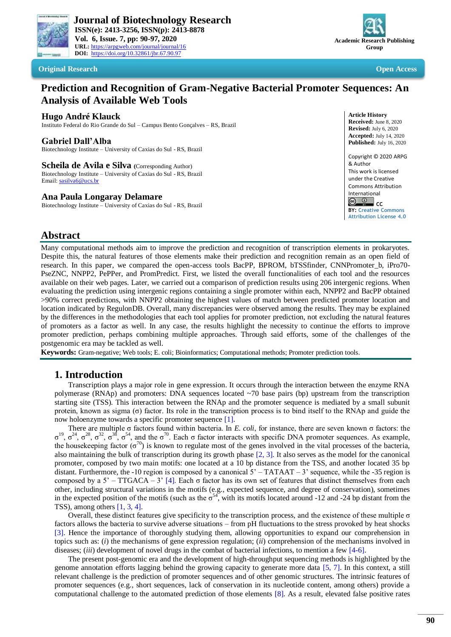



### **Original Research Open Access**

# **Prediction and Recognition of Gram-Negative Bacterial Promoter Sequences: An Analysis of Available Web Tools**

### **Hugo André Klauck**

Instituto Federal do Rio Grande do Sul – Campus Bento Gonçalves – RS, Brazil

### **Gabriel Dall'Alba**

Biotechnology Institute – University of Caxias do Sul - RS, Brazil

**Scheila de Avila e Silva (**Corresponding Author) Biotechnology Institute – University of Caxias do Sul - RS, Brazil Email[: sasilva6@ucs.br](mailto:sasilva6@ucs.br)

#### **Ana Paula Longaray Delamare**

Biotechnology Institute – University of Caxias do Sul - RS, Brazil



**BY: [Creative Commons](https://creativecommons.org/licenses/by/4.0/)  [Attribution License 4.0](https://creativecommons.org/licenses/by/4.0/)**

# **Abstract**

Many computational methods aim to improve the prediction and recognition of transcription elements in prokaryotes. Despite this, the natural features of those elements make their prediction and recognition remain as an open field of research. In this paper, we compared the open-access tools BacPP, BPROM, bTSSfinder, CNNPromoter b, iPro70-PseZNC, NNPP2, PePPer, and PromPredict. First, we listed the overall functionalities of each tool and the resources available on their web pages. Later, we carried out a comparison of prediction results using 206 intergenic regions. When evaluating the prediction using intergenic regions containing a single promoter within each, NNPP2 and BacPP obtained >90% correct predictions, with NNPP2 obtaining the highest values of match between predicted promoter location and location indicated by RegulonDB. Overall, many discrepancies were observed among the results. They may be explained by the differences in the methodologies that each tool applies for promoter prediction, not excluding the natural features of promoters as a factor as well. In any case, the results highlight the necessity to continue the efforts to improve promoter prediction, perhaps combining multiple approaches. Through said efforts, some of the challenges of the postgenomic era may be tackled as well.

**Keywords:** Gram-negative; Web tools; E. coli; Bioinformatics; Computational methods; Promoter prediction tools.

## **1. Introduction**

Transcription plays a major role in gene expression. It occurs through the interaction between the enzyme RNA polymerase (RNAp) and promoters: DNA sequences located ~70 base pairs (bp) upstream from the transcription starting site (TSS). This interaction between the RNAp and the promoter sequence is mediated by a small subunit protein, known as sigma (σ) factor. Its role in the transcription process is to bind itself to the RNAp and guide the now holoenzyme towards a specific promoter sequence [\[1\]](#page-5-0).

There are multiple σ factors found within bacteria. In *E. coli*, for instance, there are seven known σ factors: the  $\sigma^{19}$ ,  $\sigma^{24}$ ,  $\sigma^{28}$ ,  $\sigma^{32}$ ,  $\sigma^{38}$ ,  $\sigma^{54}$ , and the  $\sigma^{70}$ . Each  $\sigma$  factor interacts with specific DNA promoter sequences. As example, the housekeeping factor  $(\sigma^{70})$  is known to regulate most of the genes involved in the vital processes of the bacteria, also maintaining the bulk of transcription during its growth phase [\[2,](#page-5-1) [3\]](#page-5-2). It also serves as the model for the canonical promoter, composed by two main motifs: one located at a 10 bp distance from the TSS, and another located 35 bp distant. Furthermore, the -10 region is composed by a canonical  $5'$  – TATAAT – 3' sequence, while the -35 region is composed by a 5' – TTGACA – 3' [\[4\]](#page-5-3). Each σ factor has its own set of features that distinct themselves from each other, including structural variations in the motifs (e.g., expected sequence, and degree of conservation), sometimes in the expected position of the motifs (such as the  $\sigma^{54}$ , with its motifs located around -12 and -24 bp distant from the TSS), among others [\[1,](#page-5-0) [3,](#page-5-2) [4\]](#page-5-3).

Overall, these distinct features give specificity to the transcription process, and the existence of these multiple σ factors allows the bacteria to survive adverse situations – from pH fluctuations to the stress provoked by heat shocks [\[3\]](#page-5-2). Hence the importance of thoroughly studying them, allowing opportunities to expand our comprehension in topics such as: (*i*) the mechanisms of gene expression regulation; (*ii*) comprehension of the mechanisms involved in diseases; (*iii*) development of novel drugs in the combat of bacterial infections, to mention a few [\[4-6\]](#page-5-3).

The present post-genomic era and the development of high-throughput sequencing methods is highlighted by the genome annotation efforts lagging behind the growing capacity to generate more data [\[5,](#page-5-4) [7\]](#page-5-5). In this context, a still relevant challenge is the prediction of promoter sequences and of other genomic structures. The intrinsic features of promoter sequences (e.g., short sequences, lack of conservation in its nucleotide content, among others) provide a computational challenge to the automated prediction of those elements [\[8\]](#page-5-6). As a result, elevated false positive rates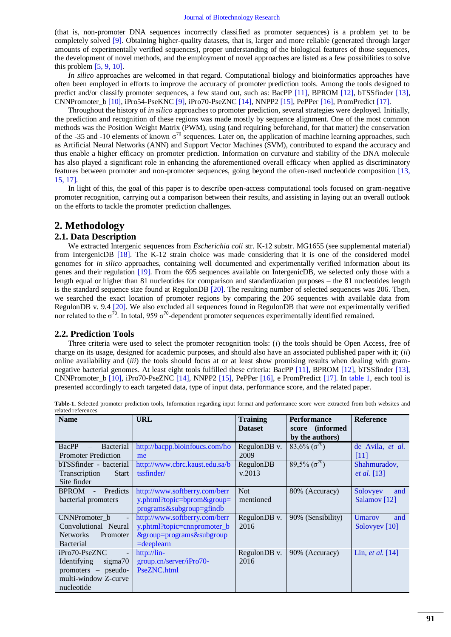(that is, non-promoter DNA sequences incorrectly classified as promoter sequences) is a problem yet to be completely solved [\[9\]](#page-5-7). Obtaining higher-quality datasets, that is, larger and more reliable (generated through larger amounts of experimentally verified sequences), proper understanding of the biological features of those sequences, the development of novel methods, and the employment of novel approaches are listed as a few possibilities to solve this problem  $[5, 9, 10]$  $[5, 9, 10]$  $[5, 9, 10]$ .

*In silico* approaches are welcomed in that regard. Computational biology and bioinformatics approaches have often been employed in efforts to improve the accuracy of promoter prediction tools. Among the tools designed to predict and/or classify promoter sequences, a few stand out, such as: BacPP [\[11\]](#page-5-9), BPROM [\[12\]](#page-5-10), bTSSfinder [\[13\]](#page-5-11), CNNPromoter\_b  $[10]$ , iPro54-PseKNC  $[9]$ , iPro70-PseZNC  $[14]$ , NNPP2  $[15]$ , PePPer  $[16]$ , PromPredict  $[17]$ .

Throughout the history of *in silico* approaches to promoter prediction, several strategies were deployed. Initially, the prediction and recognition of these regions was made mostly by sequence alignment. One of the most common methods was the Position Weight Matrix (PWM), using (and requiring beforehand, for that matter) the conservation of the -35 and -10 elements of known  $\sigma^{70}$  sequences. Later on, the application of machine learning approaches, such as Artificial Neural Networks (ANN) and Support Vector Machines (SVM), contributed to expand the accuracy and thus enable a higher efficacy on promoter prediction. Information on curvature and stability of the DNA molecule has also played a significant role in enhancing the aforementioned overall efficacy when applied as discriminatory features between promoter and non-promoter sequences, going beyond the often-used nucleotide composition [\[13,](#page-5-11) [15,](#page-5-13) [17\]](#page-5-15).

In light of this, the goal of this paper is to describe open-access computational tools focused on gram-negative promoter recognition, carrying out a comparison between their results, and assisting in laying out an overall outlook on the efforts to tackle the promoter prediction challenges.

# **2. Methodology**

## **2.1. Data Description**

We extracted Intergenic sequences from *Escherichia coli* str. K-12 substr. MG1655 (see supplemental material) from IntergenicDB [\[18\]](#page-6-0). The K-12 strain choice was made considering that it is one of the considered model genomes for *in silico* approaches, containing well documented and experimentally verified information about its genes and their regulation [\[19\]](#page-6-1). From the 695 sequences available on IntergenicDB, we selected only those with a length equal or higher than 81 nucleotides for comparison and standardization purposes – the 81 nucleotides length is the standard sequence size found at RegulonDB [\[20\]](#page-6-2). The resulting number of selected sequences was 206. Then, we searched the exact location of promoter regions by comparing the 206 sequences with available data from RegulonDB v. 9.4 [\[20\]](#page-6-2). We also excluded all sequences found in RegulonDB that were not experimentally verified nor related to the  $\sigma^{70}$ . In total, 959  $\sigma^{70}$ -dependent promoter sequences experimentally identified remained.

### **2.2. Prediction Tools**

Three criteria were used to select the promoter recognition tools: (*i*) the tools should be Open Access, free of charge on its usage, designed for academic purposes, and should also have an associated published paper with it; (*ii*) online availability and (*iii*) the tools should focus at or at least show promising results when dealing with gramnegative bacterial genomes. At least eight tools fulfilled these criteria: BacPP [\[11\]](#page-5-9), BPROM [\[12\]](#page-5-10), bTSSfinder [\[13\]](#page-5-11), CNNPromoter b [\[10\]](#page-5-8), iPro70-PseZNC [\[14\]](#page-5-12), NNPP2 [\[15\]](#page-5-13), PePPer [\[16\]](#page-5-14), e PromPredict [\[17\]](#page-5-15). In [table 1,](#page-1-0) each tool is presented accordingly to each targeted data, type of input data, performance score, and the related paper.

| <b>Name</b>                                | <b>URL</b>                     |                | <b>Performance</b>                            | <b>Reference</b>         |
|--------------------------------------------|--------------------------------|----------------|-----------------------------------------------|--------------------------|
|                                            |                                | <b>Dataset</b> | <i>(informed)</i><br>score<br>by the authors) |                          |
| BacPP<br>Bacterial                         | http://bacpp.bioinfoucs.com/ho | RegulonDB v.   | $83,6\%$ ( $\sigma^{70}$ )                    | de Avila, et al.         |
| <b>Promoter Prediction</b>                 | me                             | 2009           |                                               | [11]                     |
| bTSSfinder - bacterial                     | http://www.cbrc.kaust.edu.sa/b | RegulonDB      | $89,5\%$ ( $\sigma^{70}$ )                    | Shahmuradov,             |
| Transcription<br><b>Start</b>              | tssfinder/                     | v.2013         |                                               | <i>et al.</i> [13]       |
| Site finder                                |                                |                |                                               |                          |
| <b>BPROM</b><br>Predicts<br>$\blacksquare$ | http://www.softberry.com/berr  | <b>Not</b>     | 80% (Accuracy)                                | Solovyev<br>and          |
| bacterial promoters                        | y.phtml?topic=bprom&group=     | mentioned      |                                               | Salamov <sup>[12]</sup>  |
|                                            | programs&subgroup=gfindb       |                |                                               |                          |
| CNNPromoter b<br>$\overline{\phantom{a}}$  | http://www.softberry.com/berr  | RegulonDB v.   | 90% (Sensibility)                             | <b>Umarov</b><br>and     |
| Convolutional Neural                       | y.phtml?topic=cnnpromoter_b    | 2016           |                                               | Solovyev <sup>[10]</sup> |
| <b>Networks</b><br>Promoter                | &group=programs&subgroup       |                |                                               |                          |
| <b>Bacterial</b>                           | $=$ deeplearn                  |                |                                               |                          |
| iPro70-PseZNC                              | http://lin-                    | RegulonDB v.   | 90% (Accuracy)                                | Lin, et al. $[14]$       |
| Identifying<br>sigma <sub>70</sub>         | group.cn/server/iPro70-        | 2016           |                                               |                          |
| promoters – pseudo-                        | PseZNC.html                    |                |                                               |                          |
| multi-window Z-curve                       |                                |                |                                               |                          |
| nucleotide                                 |                                |                |                                               |                          |

<span id="page-1-0"></span>**Table-1.** Selected promoter prediction tools, Information regarding input format and performance score were extracted from both websites and related references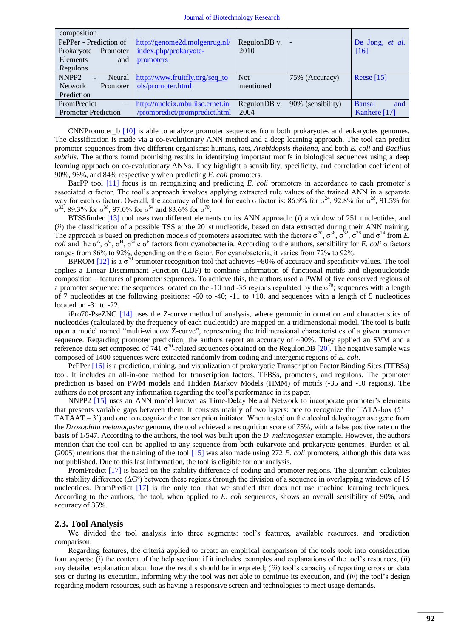| composition                                    |                                  |              |                   |                      |
|------------------------------------------------|----------------------------------|--------------|-------------------|----------------------|
| PePPer - Prediction of                         | http://genome2d.molgenrug.nl/    | RegulonDB v. |                   | De Jong, et al.      |
| Prokaryote<br>Promoter                         | index.php/prokaryote-            | 2010         |                   | [16]                 |
| Elements<br>and                                | promoters                        |              |                   |                      |
| Regulons                                       |                                  |              |                   |                      |
| NNPP <sub>2</sub><br>Neural                    | http://www.fruitfly.org/seq_to   | <b>Not</b>   | 75% (Accuracy)    | Reese $[15]$         |
| <b>Network</b><br>Promoter                     | ols/promoter.html                | mentioned    |                   |                      |
| Prediction                                     |                                  |              |                   |                      |
| <b>PromPredict</b><br>$\overline{\phantom{m}}$ | http://nucleix.mbu.iisc.ernet.in | RegulonDB v. | 90% (sensibility) | <b>Bansal</b><br>and |
| <b>Promoter Prediction</b>                     | /prompredict/prompredict.html    | 2004         |                   | Kanhere [17]         |

CNNPromoter b [\[10\]](#page-5-8) is able to analyze promoter sequences from both prokaryotes and eukaryotes genomes. The classification is made via a co-evolutionary ANN method and a deep learning approach. The tool can predict promoter sequences from five different organisms: humans, rats, *Arabidopsis thaliana*, and both *E. coli* and *Bacillus subtilis*. The authors found promising results in identifying important motifs in biological sequences using a deep learning approach on co-evolutionary ANNs. They highlight a sensibility, specificity, and correlation coefficient of 90%, 96%, and 84% respectively when predicting *E. coli* promoters.

BacPP tool [\[11\]](#page-5-9) focus is on recognizing and predicting *E. coli* promoters in accordance to each promoter's associated σ factor. The tool's approach involves applying extracted rule values of the trained ANN in a separate way for each σ factor. Overall, the accuracy of the tool for each σ factor is: 86.9% for  $\sigma^{24}$ , 92.8% for  $\sigma^{28}$ , 91.5% for  $\sigma^{32}$ , 89.3% for  $\sigma^{38}$ , 97.0% for  $\sigma^{54}$  and 83.6% for  $\sigma^{70}$ .

BTSSfinder [\[13\]](#page-5-11) tool uses two different elements on its ANN approach: (*i*) a window of 251 nucleotides, and (*ii*) the classification of a possible TSS at the 201st nucleotide, based on data extracted during their ANN training. The approach is based on prediction models of promoters associated with the factors  $\sigma^{70}$ ,  $\sigma^{38}$ ,  $\sigma^{32}$ ,  $\sigma^{28}$  and  $\sigma^{24}$  from *E*. *coli* and the  $\sigma^A$ ,  $\sigma^C$ ,  $\sigma^H$ ,  $\sigma^G$  e  $\sigma^F$  factors from cyanobacteria. According to the authors, sensibility for *E. coli*  $\sigma$  factors ranges from 86% to 92%, depending on the σ factor. For cyanobacteria, it varies from 72% to 92%.

BPROM [\[12\]](#page-5-10) is a  $\sigma^{70}$  promoter recognition tool that achieves ~80% of accuracy and specificity values. The tool applies a Linear Discriminant Function (LDF) to combine information of functional motifs and oligonucleotide composition – features of promoter sequences. To achieve this, the authors used a PWM of five conserved regions of a promoter sequence: the sequences located on the -10 and -35 regions regulated by the  $\sigma^{70}$ ; sequences with a length of 7 nucleotides at the following positions: -60 to -40; -11 to +10, and sequences with a length of 5 nucleotides located on -31 to -22.

iPro70-PseZNC [\[14\]](#page-5-12) uses the Z-curve method of analysis, where genomic information and characteristics of nucleotides (calculated by the frequency of each nucleotide) are mapped on a tridimensional model. The tool is built upon a model named "multi-window Z-curve", representing the tridimensional characteristics of a given promoter sequence. Regarding promoter prediction, the authors report an accuracy of ~90%. They applied an SVM and a reference data set composed of 741  $\sigma^{70}$ -related sequences obtained on the RegulonDB [\[20\]](#page-6-2). The negative sample was composed of 1400 sequences were extracted randomly from coding and intergenic regions of *E. coli*.

PePPer [\[16\]](#page-5-14) is a prediction, mining, and visualization of prokaryotic Transcription Factor Binding Sites (TFBSs) tool. It includes an all-in-one method for transcription factors, TFBSs, promoters, and regulons. The promoter prediction is based on PWM models and Hidden Markov Models (HMM) of motifs (-35 and -10 regions). The authors do not present any information regarding the tool's performance in its paper.

NNPP2 [\[15\]](#page-5-13) uses an ANN model known as Time-Delay Neural Network to incorporate promoter's elements that presents variable gaps between them. It consists mainly of two layers: one to recognize the TATA-box  $(5^{\circ}$  –  $TATAAT - 3'$  and one to recognize the transcription initiator. When tested on the alcohol dehydrogenase gene from the *Drosophila melanogaster* genome, the tool achieved a recognition score of 75%, with a false positive rate on the basis of 1/547. According to the authors, the tool was built upon the *D. melanogaster* example. However, the authors mention that the tool can be applied to any sequence from both eukaryote and prokaryote genomes. Burden et al. (2005) mentions that the training of the tool [\[15\]](#page-5-13) was also made using 272 *E. coli* promoters, although this data was not published. Due to this last information, the tool is eligible for our analysis.

PromPredict [\[17\]](#page-5-15) is based on the stability difference of coding and promoter regions. The algorithm calculates the stability difference  $(\Delta G^{\circ})$  between these regions through the division of a sequence in overlapping windows of 15 nucleotides. PromPredict [\[17\]](#page-5-15) is the only tool that we studied that does not use machine learning techniques. According to the authors, the tool, when applied to *E. coli* sequences, shows an overall sensibility of 90%, and accuracy of 35%.

#### **2.3. Tool Analysis**

We divided the tool analysis into three segments: tool's features, available resources, and prediction comparison.

Regarding features, the criteria applied to create an empirical comparison of the tools took into consideration four aspects: (*i*) the content of the help section: if it includes examples and explanations of the tool's resources; (*ii*) any detailed explanation about how the results should be interpreted; (*iii*) tool's capacity of reporting errors on data sets or during its execution, informing why the tool was not able to continue its execution, and (*iv*) the tool's design regarding modern resources, such as having a responsive screen and technologies to meet usage demands.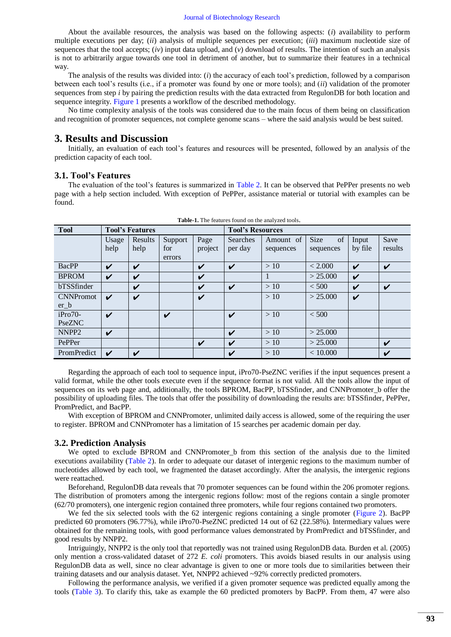About the available resources, the analysis was based on the following aspects: (*i*) availability to perform multiple executions per day; (*ii*) analysis of multiple sequences per execution; (*iii*) maximum nucleotide size of sequences that the tool accepts; (*iv*) input data upload, and (*v*) download of results. The intention of such an analysis is not to arbitrarily argue towards one tool in detriment of another, but to summarize their features in a technical way.

The analysis of the results was divided into: (*i*) the accuracy of each tool's prediction, followed by a comparison between each tool's results (i.e., if a promoter was found by one or more tools); and (*ii*) validation of the promoter sequences from step *i* by pairing the prediction results with the data extracted from RegulonDB for both location and sequence integrity. [Figure 1](#page-6-3) presents a workflow of the described methodology.

No time complexity analysis of the tools was considered due to the main focus of them being on classification and recognition of promoter sequences, not complete genome scans – where the said analysis would be best suited.

### **3. Results and Discussion**

Initially, an evaluation of each tool's features and resources will be presented, followed by an analysis of the prediction capacity of each tool.

#### **3.1. Tool's Features**

The evaluation of the tool's features is summarized in [Table 2.](#page-3-0) It can be observed that PePPer presents no web page with a help section included. With exception of PePPer, assistance material or tutorial with examples can be found.

<span id="page-3-0"></span>

| <b>Table-1.</b> The reatures found on the analyzed tools. |                        |                 |                          |                         |                            |                        |                         |                  |                 |
|-----------------------------------------------------------|------------------------|-----------------|--------------------------|-------------------------|----------------------------|------------------------|-------------------------|------------------|-----------------|
| <b>Tool</b>                                               | <b>Tool's Features</b> |                 |                          | <b>Tool's Resources</b> |                            |                        |                         |                  |                 |
|                                                           | Usage<br>help          | Results<br>help | Support<br>for<br>errors | Page<br>project         | <b>Searches</b><br>per day | Amount of<br>sequences | of<br>Size<br>sequences | Input<br>by file | Save<br>results |
| BacPP                                                     | V                      | V               |                          | V                       | V                          | >10                    | < 2.000                 | V                | V               |
| <b>BPROM</b>                                              | V                      | V               |                          | V                       |                            |                        | > 25.000                | V                |                 |
| bTSSfinder                                                |                        | V               |                          | V                       | V                          | >10                    | < 500                   | V                | V               |
| <b>CNNPromot</b><br>$er_b$                                | ✓                      | V               |                          | V                       |                            | >10                    | > 25.000                | V                |                 |
| $iPro70-$<br>PseZNC                                       | V                      |                 | V                        |                         | V                          | >10                    | < 500                   |                  |                 |
| NNPP <sub>2</sub>                                         | V                      |                 |                          |                         | ✓                          | >10                    | > 25.000                |                  |                 |
| PePPer                                                    |                        |                 |                          | V                       | V                          | >10                    | > 25.000                |                  | V               |
| PromPredict                                               | V                      | V               |                          |                         | V                          | >10                    | < 10,000                |                  | V               |

**Table-1.** The features found on the analyzed tools.

Regarding the approach of each tool to sequence input, iPro70-PseZNC verifies if the input sequences present a valid format, while the other tools execute even if the sequence format is not valid. All the tools allow the input of sequences on its web page and, additionally, the tools BPROM, BacPP, bTSSfinder, and CNNPromoter b offer the possibility of uploading files. The tools that offer the possibility of downloading the results are: bTSSfinder, PePPer, PromPredict, and BacPP.

With exception of BPROM and CNNPromoter, unlimited daily access is allowed, some of the requiring the user to register. BPROM and CNNPromoter has a limitation of 15 searches per academic domain per day.

#### **3.2. Prediction Analysis**

We opted to exclude BPROM and CNNPromoter b from this section of the analysis due to the limited executions availability [\(Table 2\)](#page-3-0). In order to adequate our dataset of intergenic regions to the maximum number of nucleotides allowed by each tool, we fragmented the dataset accordingly. After the analysis, the intergenic regions were reattached.

Beforehand, RegulonDB data reveals that 70 promoter sequences can be found within the 206 promoter regions. The distribution of promoters among the intergenic regions follow: most of the regions contain a single promoter (62/70 promoters), one intergenic region contained three promoters, while four regions contained two promoters.

We fed the six selected tools with the 62 intergenic regions containing a single promoter (Figure 2). BacPP predicted 60 promoters (96.77%), while iPro70-PseZNC predicted 14 out of 62 (22.58%). Intermediary values were obtained for the remaining tools, with good performance values demonstrated by PromPredict and bTSSfinder, and good results by NNPP2.

Intriguingly, NNPP2 is the only tool that reportedly was not trained using RegulonDB data. Burden et al. (2005) only mention a cross-validated dataset of 272 *E. coli* promoters. This avoids biased results in our analysis using RegulonDB data as well, since no clear advantage is given to one or more tools due to similarities between their training datasets and our analysis dataset. Yet, NNPP2 achieved ~92% correctly predicted promoters.

Following the performance analysis, we verified if a given promoter sequence was predicted equally among the tools [\(Table 3\)](#page-4-0). To clarify this, take as example the 60 predicted promoters by BacPP. From them, 47 were also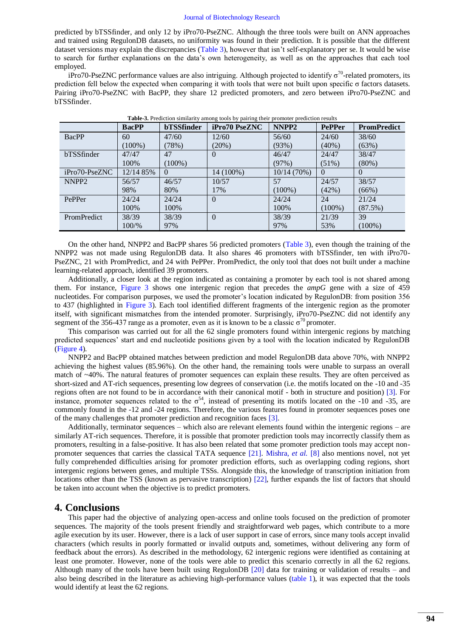predicted by bTSSfinder, and only 12 by iPro70-PseZNC. Although the three tools were built on ANN approaches and trained using RegulonDB datasets, no uniformity was found in their prediction. It is possible that the different dataset versions may explain the discrepancies [\(Table 3\)](#page-4-0), however that isn't self-explanatory per se. It would be wise to search for further explanations on the data's own heterogeneity, as well as on the approaches that each tool employed.

iPro70-PseZNC performance values are also intriguing. Although projected to identify  $\sigma^{70}$ -related promoters, its prediction fell below the expected when comparing it with tools that were not built upon specific σ factors datasets. Pairing iPro70-PseZNC with BacPP, they share 12 predicted promoters, and zero between iPro70-PseZNC and bTSSfinder.

<span id="page-4-0"></span>

|                    | <b>BacPP</b> | <b>bTSSfinder</b> | <b>iPro70 PseZNC</b> | NNPP <sub>2</sub> | <b>PePPer</b> | <b>PromPredict</b> |
|--------------------|--------------|-------------------|----------------------|-------------------|---------------|--------------------|
| <b>BacPP</b>       | 60           | 47/60             | 12/60                | 56/60             | 24/60         | 38/60              |
|                    | $(100\%)$    | (78%)             | (20%)                | (93%)             | $(40\%)$      | (63%)              |
| bTSSfinder         | 47/47        | 47                | $\theta$             | 46/47             | 24/47         | 38/47              |
|                    | 100%         | $(100\%)$         |                      | (97%)             | $(51\%)$      | $(80\%)$           |
| iPro70-PseZNC      | 12/14 85%    | $\Omega$          | 14 (100%)            | 10/14 (70%)       | $\Omega$      | $\Omega$           |
| NNPP <sub>2</sub>  | 56/57        | 46/57             | 10/57                | 57                | 24/57         | 38/57              |
|                    | 98%          | 80%               | 17%                  | $(100\%)$         | (42%)         | $(66\%)$           |
| PePPer             | 24/24        | 24/24             | $\Omega$             | 24/24             | 24            | 21/24              |
|                    | 100%         | 100%              |                      | 100%              | $(100\%)$     | (87.5%)            |
| <b>PromPredict</b> | 38/39        | 38/39             | $\theta$             | 38/39             | 21/39         | 39                 |
|                    | 100/%        | 97%               |                      | 97%               | 53%           | $(100\%)$          |

**Table-3.** Prediction similarity among tools by pairing their promoter prediction results

On the other hand, NNPP2 and BacPP shares 56 predicted promoters [\(Table 3\)](#page-4-0), even though the training of the NNPP2 was not made using RegulonDB data. It also shares 46 promoters with bTSSfinder, ten with iPro70- PseZNC, 21 with PromPredict, and 24 with PePPer. PromPredict, the only tool that does not built under a machine learning-related approach, identified 39 promoters.

Additionally, a closer look at the region indicated as containing a promoter by each tool is not shared among them. For instance, [Figure 3](#page-7-0) shows one intergenic region that precedes the *ampG* gene with a size of 459 nucleotides. For comparison purposes, we used the promoter's location indicated by RegulonDB: from position 356 to 437 (highlighted in [Figure 3\)](#page-7-0). Each tool identified different fragments of the intergenic region as the promoter itself, with significant mismatches from the intended promoter. Surprisingly, iPro70-PseZNC did not identify any segment of the 356-437 range as a promoter, even as it is known to be a classic  $\sigma^{70}$  promoter.

This comparison was carried out for all the 62 single promoters found within intergenic regions by matching predicted sequences' start and end nucleotide positions given by a tool with the location indicated by RegulonDB [\(Figure 4\)](#page-7-1).

NNPP2 and BacPP obtained matches between prediction and model RegulonDB data above 70%, with NNPP2 achieving the highest values (85.96%). On the other hand, the remaining tools were unable to surpass an overall match of ~40%. The natural features of promoter sequences can explain these results. They are often perceived as short-sized and AT-rich sequences, presenting low degrees of conservation (i.e. the motifs located on the -10 and -35 regions often are not found to be in accordance with their canonical motif - both in structure and position) [\[3\]](#page-5-2). For instance, promoter sequences related to the  $\sigma^{54}$ , instead of presenting its motifs located on the -10 and -35, are commonly found in the -12 and -24 regions. Therefore, the various features found in promoter sequences poses one of the many challenges that promoter prediction and recognition faces [\[3\]](#page-5-2).

Additionally, terminator sequences – which also are relevant elements found within the intergenic regions – are similarly AT-rich sequences. Therefore, it is possible that promoter prediction tools may incorrectly classify them as promoters, resulting in a false-positive. It has also been related that some promoter prediction tools may accept nonpromoter sequences that carries the classical TATA sequence [\[21\]](#page-6-4). [Mishra](#page-5-6)*, et al.* [8] also mentions novel, not yet fully comprehended difficulties arising for promoter prediction efforts, such as overlapping coding regions, short intergenic regions between genes, and multiple TSSs. Alongside this, the knowledge of transcription initiation from locations other than the TSS (known as pervasive transcription) [\[22\]](#page-6-5), further expands the list of factors that should be taken into account when the objective is to predict promoters.

### **4. Conclusions**

This paper had the objective of analyzing open-access and online tools focused on the prediction of promoter sequences. The majority of the tools present friendly and straightforward web pages, which contribute to a more agile execution by its user. However, there is a lack of user support in case of errors, since many tools accept invalid characters (which results in poorly formatted or invalid outputs and, sometimes, without delivering any form of feedback about the errors). As described in the methodology, 62 intergenic regions were identified as containing at least one promoter. However, none of the tools were able to predict this scenario correctly in all the 62 regions. Although many of the tools have been built using RegulonDB [\[20\]](#page-6-2) data for training or validation of results – and also being described in the literature as achieving high-performance values [\(table 1\)](#page-1-0), it was expected that the tools would identify at least the 62 regions.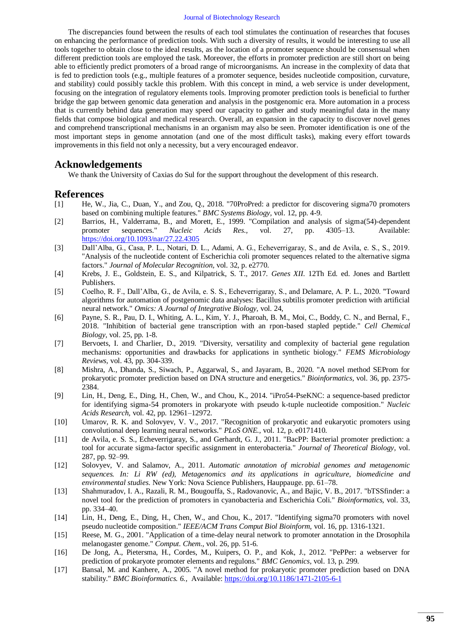The discrepancies found between the results of each tool stimulates the continuation of researches that focuses on enhancing the performance of prediction tools. With such a diversity of results, it would be interesting to use all tools together to obtain close to the ideal results, as the location of a promoter sequence should be consensual when different prediction tools are employed the task. Moreover, the efforts in promoter prediction are still short on being able to efficiently predict promoters of a broad range of microorganisms. An increase in the complexity of data that is fed to prediction tools (e.g., multiple features of a promoter sequence, besides nucleotide composition, curvature, and stability) could possibly tackle this problem. With this concept in mind, a web service is under development, focusing on the integration of regulatory elements tools. Improving promoter prediction tools is beneficial to further bridge the gap between genomic data generation and analysis in the postgenomic era. More automation in a process that is currently behind data generation may speed our capacity to gather and study meaningful data in the many fields that compose biological and medical research. Overall, an expansion in the capacity to discover novel genes and comprehend transcriptional mechanisms in an organism may also be seen. Promoter identification is one of the most important steps in genome annotation (and one of the most difficult tasks), making every effort towards improvements in this field not only a necessity, but a very encouraged endeavor.

## **Acknowledgements**

We thank the University of Caxias do Sul for the support throughout the development of this research.

## **References**

- <span id="page-5-0"></span>[1] He, W., Jia, C., Duan, Y., and Zou, Q., 2018. "70ProPred: a predictor for discovering sigma70 promoters based on combining multiple features." *BMC Systems Biology,* vol. 12, pp. 4-9.
- <span id="page-5-1"></span>[2] Barrios, H., Valderrama, B., and Morett, E., 1999. "Compilation and analysis of sigma(54)-dependent promoter sequences." *Nucleic Acids Res.,* vol. 27, pp. 4305–13. Available: <https://doi.org/10.1093/nar/27.22.4305>
- <span id="page-5-2"></span>[3] Dall'Alba, G., Casa, P. L., Notari, D. L., Adami, A. G., Echeverrigaray, S., and de Avila, e. S., S., 2019. "Analysis of the nucleotide content of Escherichia coli promoter sequences related to the alternative sigma factors." *Journal of Molecular Recognition,* vol. 32, p. e2770.
- <span id="page-5-3"></span>[4] Krebs, J. E., Goldstein, E. S., and Kilpatrick, S. T., 2017. *Genes XII*. 12Th Ed. ed. Jones and Bartlett Publishers.
- <span id="page-5-4"></span>[5] Coelho, R. F., Dall'Alba, G., de Avila, e. S. S., Echeverrigaray, S., and Delamare, A. P. L., 2020. "Toward algorithms for automation of postgenomic data analyses: Bacillus subtilis promoter prediction with artificial neural network." *Omics: A Journal of Integrative Biology,* vol. 24,
- [6] Payne, S. R., Pau, D. I., Whiting, A. L., Kim, Y. J., Pharoah, B. M., Moi, C., Boddy, C. N., and Bernal, F., 2018. "Inhibition of bacterial gene transcription with an rpon-based stapled peptide." *Cell Chemical Biology,* vol. 25, pp. 1-8.
- <span id="page-5-5"></span>[7] Bervoets, I. and Charlier, D., 2019. "Diversity, versatility and complexity of bacterial gene regulation mechanisms: opportunities and drawbacks for applications in synthetic biology." *FEMS Microbiology Reviews,* vol. 43, pp. 304-339.
- <span id="page-5-6"></span>[8] Mishra, A., Dhanda, S., Siwach, P., Aggarwal, S., and Jayaram, B., 2020. "A novel method SEProm for prokaryotic promoter prediction based on DNA structure and energetics." *Bioinformatics,* vol. 36, pp. 2375- 2384.
- <span id="page-5-7"></span>[9] Lin, H., Deng, E., Ding, H., Chen, W., and Chou, K., 2014. "iPro54-PseKNC: a sequence-based predictor for identifying sigma-54 promoters in prokaryote with pseudo k-tuple nucleotide composition." *Nucleic Acids Research,* vol. 42, pp. 12961–12972.
- <span id="page-5-8"></span>[10] Umarov, R. K. and Solovyev, V. V., 2017. "Recognition of prokaryotic and eukaryotic promoters using convolutional deep learning neural networks." *PLoS ONE.,* vol. 12, p. e0171410.
- <span id="page-5-9"></span>[11] de Avila, e. S. S., Echeverrigaray, S., and Gerhardt, G. J., 2011. "BacPP: Bacterial promoter prediction: a tool for accurate sigma-factor specific assignment in enterobacteria." *Journal of Theoretical Biology,* vol. 287, pp. 92–99.
- <span id="page-5-10"></span>[12] Solovyev, V. and Salamov, A., 2011. *Automatic annotation of microbial genomes and metagenomic sequences. In: Li RW (ed), Metagenomics and its applications in agriculture, biomedicine and environmental studies*. New York: Nova Science Publishers, Hauppauge. pp. 61–78.
- <span id="page-5-11"></span>[13] Shahmuradov, I. A., Razali, R. M., Bougouffa, S., Radovanovic, A., and Bajic, V. B., 2017. "bTSSfinder: a novel tool for the prediction of promoters in cyanobacteria and Escherichia Coli." *Bioinformatics,* vol. 33, pp. 334–40.
- <span id="page-5-12"></span>[14] Lin, H., Deng, E., Ding, H., Chen, W., and Chou, K., 2017. "Identifying sigma70 promoters with novel pseudo nucleotide composition." *IEEE/ACM Trans Comput Biol Bioinform,* vol. 16, pp. 1316-1321.
- <span id="page-5-13"></span>[15] Reese, M. G., 2001. "Application of a time-delay neural network to promoter annotation in the Drosophila melanogaster genome." *Comput. Chem.,* vol. 26, pp. 51-6.
- <span id="page-5-14"></span>[16] De Jong, A., Pietersma, H., Cordes, M., Kuipers, O. P., and Kok, J., 2012. "PePPer: a webserver for prediction of prokaryote promoter elements and regulons." *BMC Genomics,* vol. 13, p. 299.
- <span id="page-5-15"></span>[17] Bansal, M. and Kanhere, A., 2005. "A novel method for prokaryotic promoter prediction based on DNA stability." *BMC Bioinformatics. 6.,* Available:<https://doi.org/10.1186/1471-2105-6-1>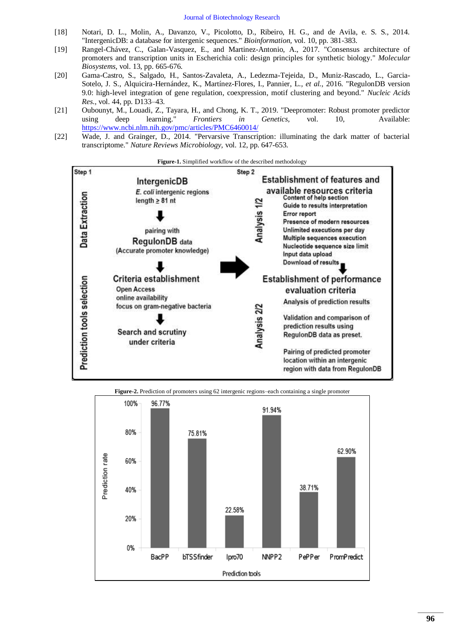- <span id="page-6-0"></span>[18] Notari, D. L., Molin, A., Davanzo, V., Picolotto, D., Ribeiro, H. G., and de Avila, e. S. S., 2014. "IntergenicDB: a database for intergenic sequences." *Bioinformation,* vol. 10, pp. 381-383.
- <span id="page-6-1"></span>[19] Rangel-Chávez, C., Galan-Vasquez, E., and Martinez-Antonio, A., 2017. "Consensus architecture of promoters and transcription units in Escherichia coli: design principles for synthetic biology." *Molecular Biosystems,* vol. 13, pp. 665-676.
- <span id="page-6-2"></span>[20] Gama-Castro, S., Salgado, H., Santos-Zavaleta, A., Ledezma-Tejeida, D., Muniz-Rascado, L., Garcia-Sotelo, J. S., Alquicira-Hernández, K., Martínez-Flores, I., Pannier, L.*, et al.*, 2016. "RegulonDB version 9.0: high-level integration of gene regulation, coexpression, motif clustering and beyond." *Nucleic Acids Res.,* vol. 44, pp. D133–43.
- <span id="page-6-4"></span>[21] Oubounyt, M., Louadi, Z., Tayara, H., and Chong, K. T., 2019. "Deepromoter: Robust promoter predictor using deep learning." *Frontiers in Genetics,* vol. 10, Available: [https://www.ncbi.nlm.nih.gov/pmc/articles/PMC6460014/](http://www.ncbi.nlm.nih.gov/pmc/articles/PMC6460014/)
- <span id="page-6-5"></span>[22] Wade, J. and Grainger, D., 2014. "Pervarsive Transcription: illuminating the dark matter of bacterial transcriptome." *Nature Reviews Microbiology,* vol. 12, pp. 647-653.

<span id="page-6-3"></span>

**Figure-2.** Prediction of promoters using 62 intergenic regions–each containing a single promoter